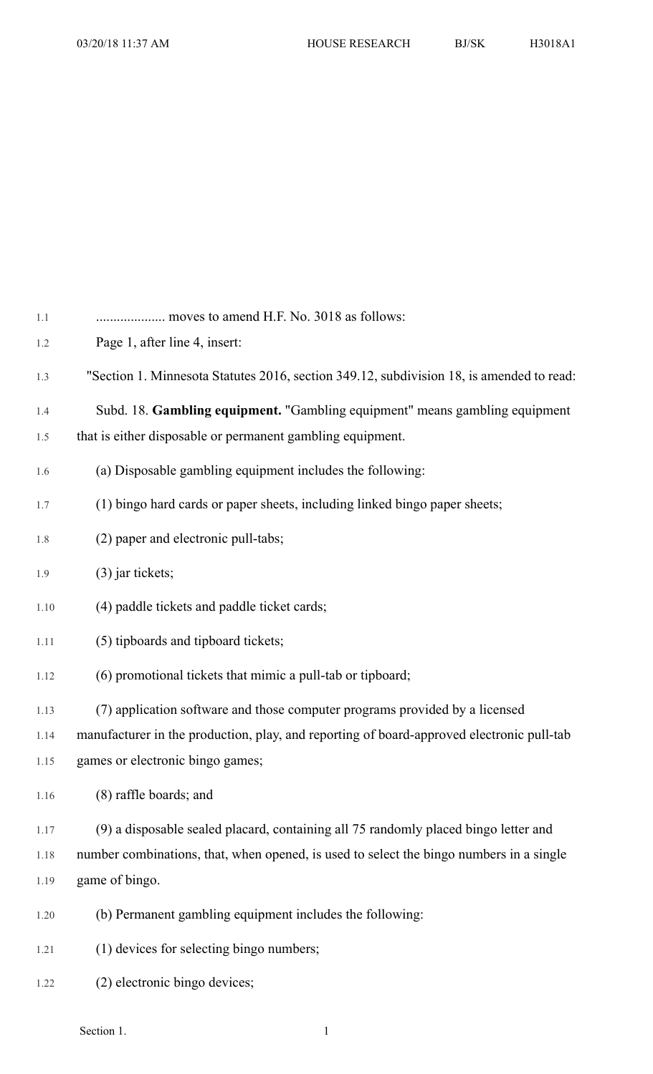| 1.1  |                                                                                           |
|------|-------------------------------------------------------------------------------------------|
| 1.2  | Page 1, after line 4, insert:                                                             |
| 1.3  | "Section 1. Minnesota Statutes 2016, section 349.12, subdivision 18, is amended to read:  |
| 1.4  | Subd. 18. Gambling equipment. "Gambling equipment" means gambling equipment               |
| 1.5  | that is either disposable or permanent gambling equipment.                                |
| 1.6  | (a) Disposable gambling equipment includes the following:                                 |
| 1.7  | (1) bingo hard cards or paper sheets, including linked bingo paper sheets;                |
| 1.8  | (2) paper and electronic pull-tabs;                                                       |
| 1.9  | $(3)$ jar tickets;                                                                        |
| 1.10 | (4) paddle tickets and paddle ticket cards;                                               |
| 1.11 | (5) tipboards and tipboard tickets;                                                       |
| 1.12 | (6) promotional tickets that mimic a pull-tab or tipboard;                                |
| 1.13 | (7) application software and those computer programs provided by a licensed               |
| 1.14 | manufacturer in the production, play, and reporting of board-approved electronic pull-tab |
| 1.15 | games or electronic bingo games;                                                          |
| 1.16 | (8) raffle boards; and                                                                    |
| 1.17 | (9) a disposable sealed placard, containing all 75 randomly placed bingo letter and       |
| 1.18 | number combinations, that, when opened, is used to select the bingo numbers in a single   |
| 1.19 | game of bingo.                                                                            |
| 1.20 | (b) Permanent gambling equipment includes the following:                                  |
| 1.21 | (1) devices for selecting bingo numbers;                                                  |
| 1.22 | (2) electronic bingo devices;                                                             |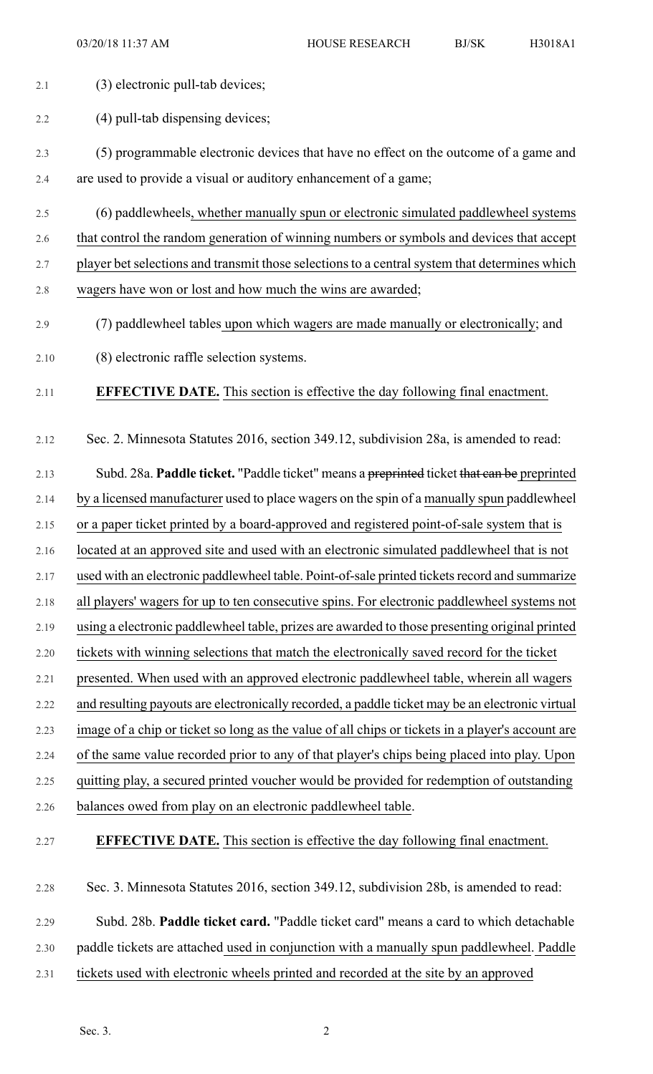2.1 (3) electronic pull-tab devices; 2.2 (4) pull-tab dispensing devices; 2.3 (5) programmable electronic devices that have no effect on the outcome of a game and 2.4 are used to provide a visual or auditory enhancement of a game; 2.5 (6) paddlewheels, whether manually spun or electronic simulated paddlewheel systems 2.6 that control the random generation of winning numbers or symbols and devices that accept 2.7 player bet selections and transmit those selections to a central system that determines which 2.8 wagers have won or lost and how much the wins are awarded; 2.9 (7) paddlewheel tables upon which wagers are made manually or electronically; and 2.10 (8) electronic raffle selection systems. 2.11 **EFFECTIVE DATE.** This section is effective the day following final enactment. 2.12 Sec. 2. Minnesota Statutes 2016, section 349.12, subdivision 28a, is amended to read: 2.13 Subd. 28a. **Paddle ticket.** "Paddle ticket" means a preprinted ticket that can be preprinted 2.14 by a licensed manufacturer used to place wagers on the spin of a manually spun paddlewheel 2.15 or a paper ticket printed by a board-approved and registered point-of-sale system that is 2.16 located at an approved site and used with an electronic simulated paddlewheel that is not 2.17 used with an electronic paddlewheel table. Point-of-sale printed tickets record and summarize 2.18 all players' wagers for up to ten consecutive spins. For electronic paddlewheel systems not 2.19 using a electronic paddlewheel table, prizes are awarded to those presenting original printed 2.20 tickets with winning selections that match the electronically saved record for the ticket 2.21 presented. When used with an approved electronic paddlewheel table, wherein all wagers 2.22 and resulting payouts are electronically recorded, a paddle ticket may be an electronic virtual 2.23 image of a chip or ticket so long as the value of all chips or tickets in a player's account are 2.24 of the same value recorded prior to any of that player's chips being placed into play. Upon 2.25 quitting play, a secured printed voucher would be provided for redemption of outstanding 2.26 balances owed from play on an electronic paddlewheel table. 2.27 **EFFECTIVE DATE.** This section is effective the day following final enactment. 2.28 Sec. 3. Minnesota Statutes 2016, section 349.12, subdivision 28b, is amended to read: 2.29 Subd. 28b. **Paddle ticket card.** "Paddle ticket card" means a card to which detachable 2.30 paddle tickets are attached used in conjunction with a manually spun paddlewheel. Paddle 2.31 tickets used with electronic wheels printed and recorded at the site by an approved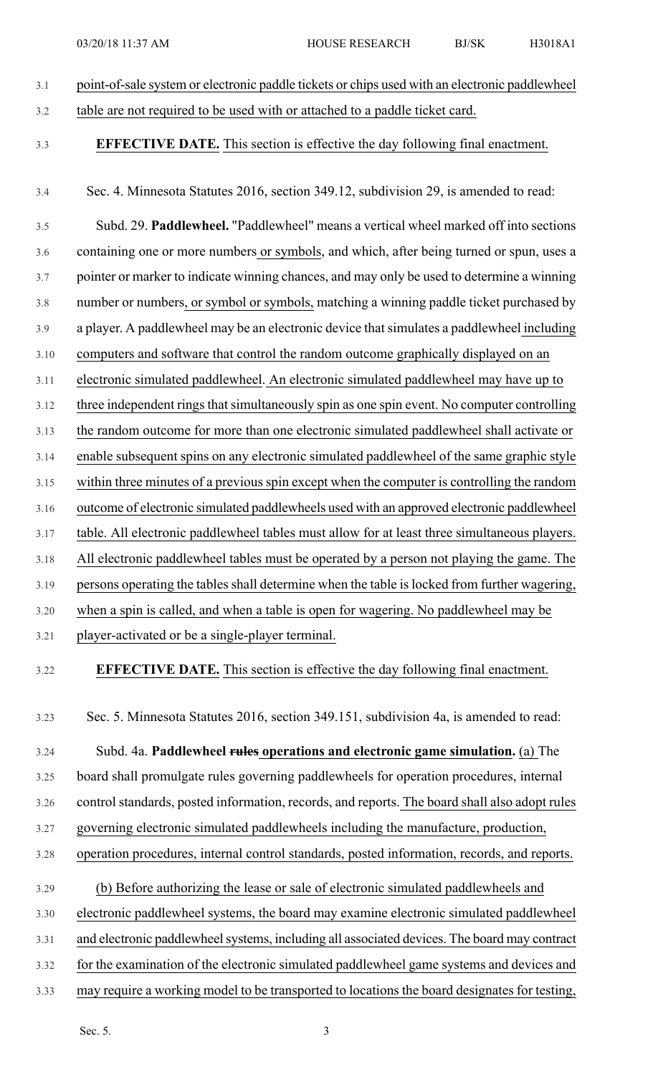3.1 point-of-sale system or electronic paddle tickets or chips used with an electronic paddlewheel 3.2 table are not required to be used with or attached to a paddle ticket card. 3.3 **EFFECTIVE DATE.** This section is effective the day following final enactment. 3.4 Sec. 4. Minnesota Statutes 2016, section 349.12, subdivision 29, is amended to read: 3.5 Subd. 29. **Paddlewheel.** "Paddlewheel" means a vertical wheel marked off into sections 3.6 containing one or more numbers or symbols, and which, after being turned or spun, uses a 3.7 pointer or marker to indicate winning chances, and may only be used to determine a winning 3.8 number or numbers, or symbol or symbols, matching a winning paddle ticket purchased by 3.9 a player. A paddlewheel may be an electronic device thatsimulates a paddlewheel including 3.10 computers and software that control the random outcome graphically displayed on an 3.11 electronic simulated paddlewheel. An electronic simulated paddlewheel may have up to 3.12 three independent rings that simultaneously spin as one spin event. No computer controlling 3.13 the random outcome for more than one electronic simulated paddlewheel shall activate or 3.14 enable subsequent spins on any electronic simulated paddlewheel of the same graphic style 3.15 within three minutes of a previous spin except when the computer is controlling the random 3.16 outcome of electronic simulated paddlewheels used with an approved electronic paddlewheel 3.17 table. All electronic paddlewheel tables must allow for at least three simultaneous players. 3.18 All electronic paddlewheel tables must be operated by a person not playing the game. The 3.19 persons operating the tables shall determine when the table is locked from further wagering, 3.20 when a spin is called, and when a table is open for wagering. No paddlewheel may be 3.21 player-activated or be a single-player terminal. 3.22 **EFFECTIVE DATE.** This section is effective the day following final enactment. 3.23 Sec. 5. Minnesota Statutes 2016, section 349.151, subdivision 4a, is amended to read: 3.24 Subd. 4a. **Paddlewheel rules operations and electronic game simulation.** (a) The 3.25 board shall promulgate rules governing paddlewheels for operation procedures, internal 3.26 control standards, posted information, records, and reports. The board shall also adopt rules 3.27 governing electronic simulated paddlewheels including the manufacture, production, 3.28 operation procedures, internal control standards, posted information, records, and reports. 3.29 (b) Before authorizing the lease or sale of electronic simulated paddlewheels and 3.30 electronic paddlewheel systems, the board may examine electronic simulated paddlewheel 3.31 and electronic paddlewheel systems, including all associated devices. The board may contract 3.32 for the examination of the electronic simulated paddlewheel game systems and devices and 3.33 may require a working model to be transported to locations the board designates for testing,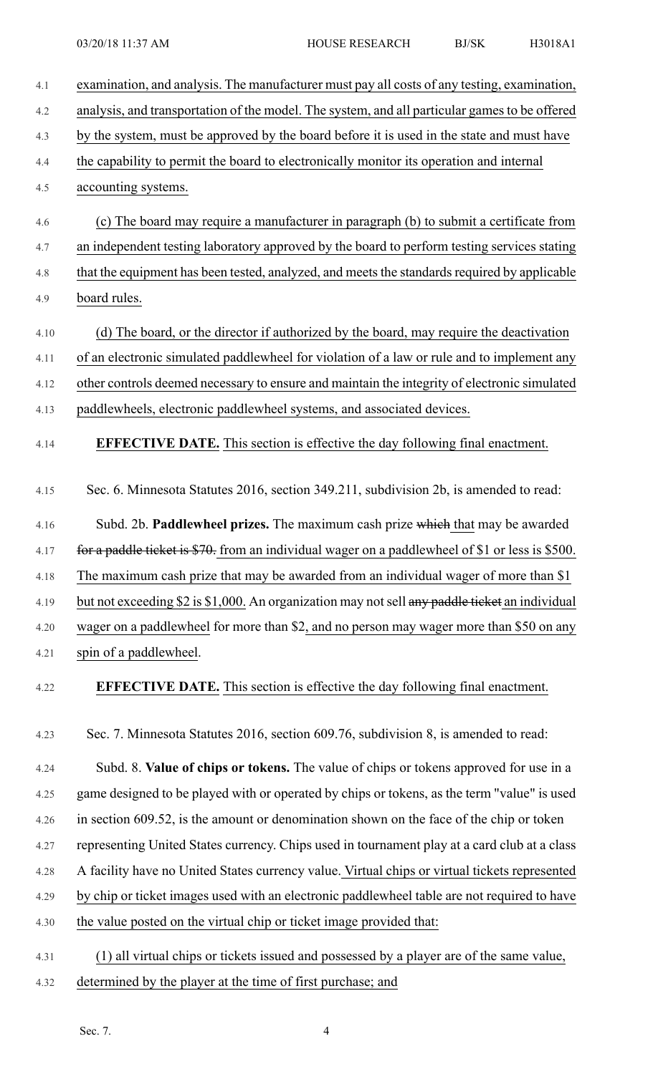| 4.1  | examination, and analysis. The manufacturer must pay all costs of any testing, examination,     |
|------|-------------------------------------------------------------------------------------------------|
| 4.2  | analysis, and transportation of the model. The system, and all particular games to be offered   |
| 4.3  | by the system, must be approved by the board before it is used in the state and must have       |
| 4.4  | the capability to permit the board to electronically monitor its operation and internal         |
| 4.5  | accounting systems.                                                                             |
| 4.6  | (c) The board may require a manufacturer in paragraph (b) to submit a certificate from          |
| 4.7  | an independent testing laboratory approved by the board to perform testing services stating     |
| 4.8  | that the equipment has been tested, analyzed, and meets the standards required by applicable    |
| 4.9  | board rules.                                                                                    |
| 4.10 | (d) The board, or the director if authorized by the board, may require the deactivation         |
| 4.11 | of an electronic simulated paddlewheel for violation of a law or rule and to implement any      |
| 4.12 | other controls deemed necessary to ensure and maintain the integrity of electronic simulated    |
| 4.13 | paddlewheels, electronic paddlewheel systems, and associated devices.                           |
| 4.14 | <b>EFFECTIVE DATE.</b> This section is effective the day following final enactment.             |
| 4.15 | Sec. 6. Minnesota Statutes 2016, section 349.211, subdivision 2b, is amended to read:           |
| 4.16 | Subd. 2b. Paddlewheel prizes. The maximum cash prize which that may be awarded                  |
| 4.17 | for a paddle ticket is \$70. from an individual wager on a paddlewheel of \$1 or less is \$500. |
| 4.18 | The maximum cash prize that may be awarded from an individual wager of more than \$1            |
| 4.19 | but not exceeding \$2 is \$1,000. An organization may not sell any paddle ticket an individual  |
| 4.20 | wager on a paddlewheel for more than \$2, and no person may wager more than \$50 on any         |
| 4.21 | spin of a paddlewheel.                                                                          |
| 4.22 | <b>EFFECTIVE DATE.</b> This section is effective the day following final enactment.             |
| 4.23 | Sec. 7. Minnesota Statutes 2016, section 609.76, subdivision 8, is amended to read:             |
| 4.24 | Subd. 8. Value of chips or tokens. The value of chips or tokens approved for use in a           |
| 4.25 | game designed to be played with or operated by chips or tokens, as the term "value" is used     |
| 4.26 | in section 609.52, is the amount or denomination shown on the face of the chip or token         |
| 4.27 | representing United States currency. Chips used in tournament play at a card club at a class    |
| 4.28 | A facility have no United States currency value. Virtual chips or virtual tickets represented   |
| 4.29 | by chip or ticket images used with an electronic paddlewheel table are not required to have     |
| 4.30 | the value posted on the virtual chip or ticket image provided that:                             |
| 4.31 | (1) all virtual chips or tickets issued and possessed by a player are of the same value,        |
| 4.32 | determined by the player at the time of first purchase; and                                     |
|      |                                                                                                 |